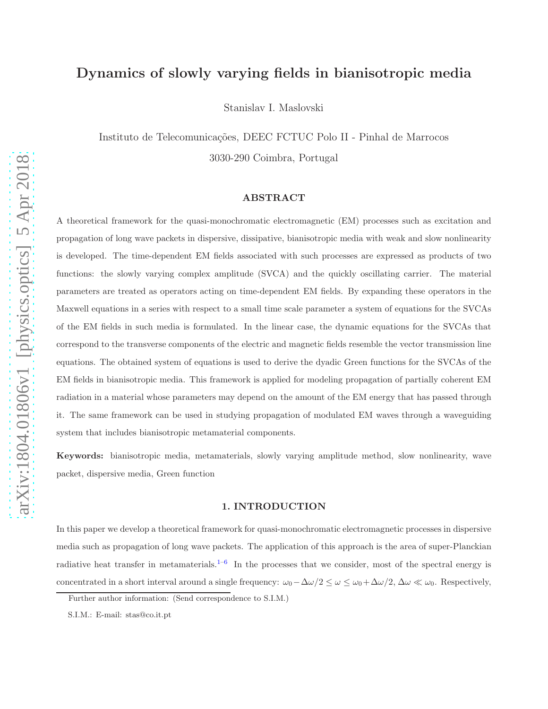# Dynamics of slowly varying fields in bianisotropic media

Stanislav I. Maslovski

Instituto de Telecomunicações, DEEC FCTUC Polo II - Pinhal de Marrocos 3030-290 Coimbra, Portugal

### ABSTRACT

A theoretical framework for the quasi-monochromatic electromagnetic (EM) processes such as excitation and propagation of long wave packets in dispersive, dissipative, bianisotropic media with weak and slow nonlinearity is developed. The time-dependent EM fields associated with such processes are expressed as products of two functions: the slowly varying complex amplitude (SVCA) and the quickly oscillating carrier. The material parameters are treated as operators acting on time-dependent EM fields. By expanding these operators in the Maxwell equations in a series with respect to a small time scale parameter a system of equations for the SVCAs of the EM fields in such media is formulated. In the linear case, the dynamic equations for the SVCAs that correspond to the transverse components of the electric and magnetic fields resemble the vector transmission line equations. The obtained system of equations is used to derive the dyadic Green functions for the SVCAs of the EM fields in bianisotropic media. This framework is applied for modeling propagation of partially coherent EM radiation in a material whose parameters may depend on the amount of the EM energy that has passed through it. The same framework can be used in studying propagation of modulated EM waves through a waveguiding system that includes bianisotropic metamaterial components.

<span id="page-0-0"></span>Keywords: bianisotropic media, metamaterials, slowly varying amplitude method, slow nonlinearity, wave packet, dispersive media, Green function

#### 1. INTRODUCTION

In this paper we develop a theoretical framework for quasi-monochromatic electromagnetic processes in dispersive media such as propagation of long wave packets. The application of this approach is the area of super-Planckian radiative heat transfer in metamaterials.<sup>[1](#page-10-0)[–6](#page-10-1)</sup> In the processes that we consider, most of the spectral energy is concentrated in a short interval around a single frequency:  $\omega_0 - \Delta \omega/2 \leq \omega \leq \omega_0 + \Delta \omega/2$ ,  $\Delta \omega \ll \omega_0$ . Respectively,

Further author information: (Send correspondence to S.I.M.)

S.I.M.: E-mail: stas@co.it.pt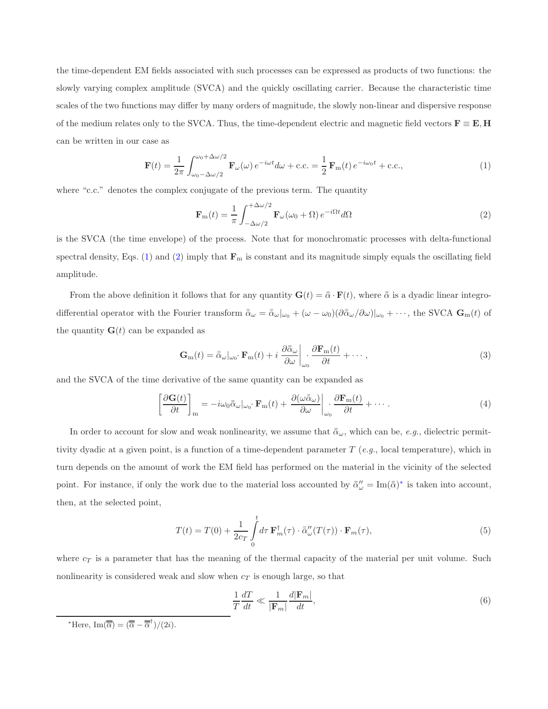the time-dependent EM fields associated with such processes can be expressed as products of two functions: the slowly varying complex amplitude (SVCA) and the quickly oscillating carrier. Because the characteristic time scales of the two functions may differ by many orders of magnitude, the slowly non-linear and dispersive response of the medium relates only to the SVCA. Thus, the time-dependent electric and magnetic field vectors  $\mathbf{F} \equiv \mathbf{E}, \mathbf{H}$ can be written in our case as

$$
\mathbf{F}(t) = \frac{1}{2\pi} \int_{\omega_0 - \Delta\omega/2}^{\omega_0 + \Delta\omega/2} \mathbf{F}_{\omega}(\omega) e^{-i\omega t} d\omega + \text{c.c.} = \frac{1}{2} \mathbf{F}_{\text{m}}(t) e^{-i\omega_0 t} + \text{c.c.},\tag{1}
$$

where "c.c." denotes the complex conjugate of the previous term. The quantity

<span id="page-1-1"></span><span id="page-1-0"></span>
$$
\mathbf{F}_{\rm m}(t) = \frac{1}{\pi} \int_{-\Delta\omega/2}^{+\Delta\omega/2} \mathbf{F}_{\omega}(\omega_0 + \Omega) e^{-i\Omega t} d\Omega \tag{2}
$$

is the SVCA (the time envelope) of the process. Note that for monochromatic processes with delta-functional spectral density, Eqs. [\(1\)](#page-1-0) and [\(2\)](#page-1-1) imply that  $\mathbf{F}_m$  is constant and its magnitude simply equals the oscillating field amplitude.

From the above definition it follows that for any quantity  $\mathbf{G}(t) = \bar{\bar{\alpha}} \cdot \mathbf{F}(t)$ , where  $\bar{\bar{\alpha}}$  is a dyadic linear integrodifferential operator with the Fourier transform  $\bar{\bar{\alpha}}_{\omega} = \bar{\bar{\alpha}}_{\omega}|_{\omega_0} + (\omega - \omega_0)(\partial \bar{\bar{\alpha}}_{\omega}/\partial \omega)|_{\omega_0} + \cdots$ , the SVCA  $\mathbf{G}_{\mathrm{m}}(t)$  of the quantity  $\mathbf{G}(t)$  can be expanded as

<span id="page-1-4"></span><span id="page-1-3"></span>
$$
\mathbf{G}_{\rm m}(t) = \bar{\bar{\alpha}}_{\omega}|_{\omega_0} \cdot \mathbf{F}_{\rm m}(t) + i \left. \frac{\partial \bar{\bar{\alpha}}_{\omega}}{\partial \omega} \right|_{\omega_0} \cdot \frac{\partial \mathbf{F}_{\rm m}(t)}{\partial t} + \cdots,
$$
\n(3)

and the SVCA of the time derivative of the same quantity can be expanded as

$$
\left[\frac{\partial \mathbf{G}(t)}{\partial t}\right]_{\text{m}} = -i\omega_0 \bar{\alpha}_{\omega}|_{\omega_0} \cdot \mathbf{F}_{\text{m}}(t) + \left.\frac{\partial(\omega \bar{\alpha}_{\omega})}{\partial \omega}\right|_{\omega_0} \frac{\partial \mathbf{F}_{\text{m}}(t)}{\partial t} + \cdots
$$
\n(4)

In order to account for slow and weak nonlinearity, we assume that  $\bar{\bar{\alpha}}_{\omega}$ , which can be, e.g., dielectric permittivity dyadic at a given point, is a function of a time-dependent parameter  $T$  (e.g., local temperature), which in turn depends on the amount of work the EM field has performed on the material in the vicinity of the selected point. For instance, if only the work due to the material loss accounted by  $\bar{\alpha}''_{\omega} = \text{Im}(\bar{\alpha})^*$  is taken into account, then, at the selected point,

$$
T(t) = T(0) + \frac{1}{2c_T} \int_{0}^{t} d\tau \, \mathbf{F}_m^{\dagger}(\tau) \cdot \bar{\alpha}_{\omega}''(T(\tau)) \cdot \mathbf{F}_m(\tau), \tag{5}
$$

where  $c_T$  is a parameter that has the meaning of the thermal capacity of the material per unit volume. Such nonlinearity is considered weak and slow when  $c<sub>T</sub>$  is enough large, so that

<span id="page-1-5"></span>
$$
\frac{1}{T}\frac{dT}{dt} \ll \frac{1}{|\mathbf{F}_m|}\frac{d|\mathbf{F}_m|}{dt},\tag{6}
$$

<span id="page-1-2"></span>\*Here, Im $(\overline{\overline{\alpha}}) = (\overline{\overline{\alpha}} - \overline{\overline{\alpha}}^{\dagger})/(2i)$ .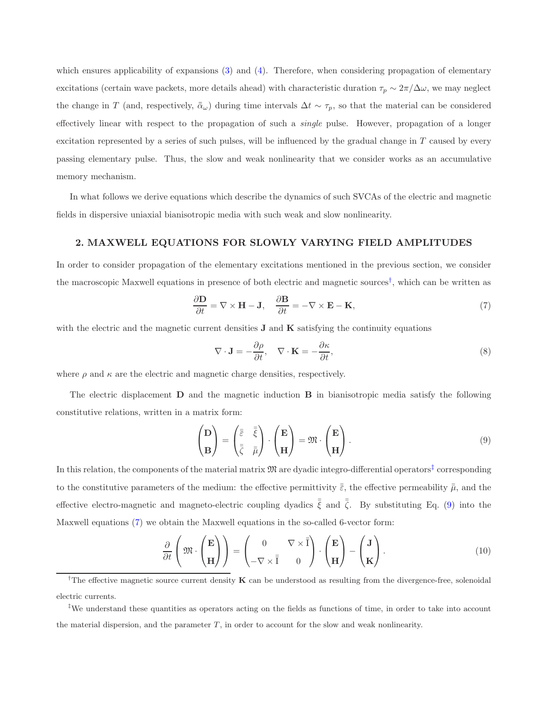which ensures applicability of expansions  $(3)$  and  $(4)$ . Therefore, when considering propagation of elementary excitations (certain wave packets, more details ahead) with characteristic duration  $\tau_p \sim 2\pi/\Delta\omega$ , we may neglect the change in T (and, respectively,  $\bar{\bar{\alpha}}_{\omega}$ ) during time intervals  $\Delta t \sim \tau_p$ , so that the material can be considered effectively linear with respect to the propagation of such a *single* pulse. However, propagation of a longer excitation represented by a series of such pulses, will be influenced by the gradual change in  $T$  caused by every passing elementary pulse. Thus, the slow and weak nonlinearity that we consider works as an accumulative memory mechanism.

In what follows we derive equations which describe the dynamics of such SVCAs of the electric and magnetic fields in dispersive uniaxial bianisotropic media with such weak and slow nonlinearity.

#### 2. MAXWELL EQUATIONS FOR SLOWLY VARYING FIELD AMPLITUDES

In order to consider propagation of the elementary excitations mentioned in the previous section, we consider the macroscopic Maxwell equations in presence of both electric and magnetic sources[†](#page-2-0) , which can be written as

$$
\frac{\partial \mathbf{D}}{\partial t} = \nabla \times \mathbf{H} - \mathbf{J}, \quad \frac{\partial \mathbf{B}}{\partial t} = -\nabla \times \mathbf{E} - \mathbf{K}, \tag{7}
$$

with the electric and the magnetic current densities  $J$  and  $K$  satisfying the continuity equations

<span id="page-2-3"></span><span id="page-2-2"></span>
$$
\nabla \cdot \mathbf{J} = -\frac{\partial \rho}{\partial t}, \quad \nabla \cdot \mathbf{K} = -\frac{\partial \kappa}{\partial t},
$$
\n(8)

where  $\rho$  and  $\kappa$  are the electric and magnetic charge densities, respectively.

The electric displacement D and the magnetic induction B in bianisotropic media satisfy the following constitutive relations, written in a matrix form:

<span id="page-2-4"></span>
$$
\begin{pmatrix} \mathbf{D} \\ \mathbf{B} \end{pmatrix} = \begin{pmatrix} \overline{\overline{\varepsilon}} & \overline{\overline{\varepsilon}} \\ \overline{\overline{\zeta}} & \overline{\overline{\mu}} \end{pmatrix} \cdot \begin{pmatrix} \mathbf{E} \\ \mathbf{H} \end{pmatrix} = \mathfrak{M} \cdot \begin{pmatrix} \mathbf{E} \\ \mathbf{H} \end{pmatrix} . \tag{9}
$$

In this relation, the components of the material matrix  $\mathfrak M$  are dyadic integro-differential operators<sup>[‡](#page-2-1)</sup> corresponding to the constitutive parameters of the medium: the effective permittivity  $\bar{\bar{\varepsilon}}$ , the effective permeability  $\bar{\bar{\mu}}$ , and the effective electro-magnetic and magneto-electric coupling dyadics  $\bar{\xi}$  and  $\bar{\zeta}$ . By substituting Eq. [\(9\)](#page-2-2) into the Maxwell equations [\(7\)](#page-2-3) we obtain the Maxwell equations in the so-called 6-vector form:

$$
\frac{\partial}{\partial t} \left( \mathfrak{M} \cdot \begin{pmatrix} \mathbf{E} \\ \mathbf{H} \end{pmatrix} \right) = \begin{pmatrix} 0 & \nabla \times \overline{\mathbf{I}} \\ -\nabla \times \overline{\mathbf{I}} & 0 \end{pmatrix} \cdot \begin{pmatrix} \mathbf{E} \\ \mathbf{H} \end{pmatrix} - \begin{pmatrix} \mathbf{J} \\ \mathbf{K} \end{pmatrix} . \tag{10}
$$

<span id="page-2-0"></span><sup>&</sup>lt;sup>†</sup>The effective magnetic source current density  $\bf{K}$  can be understood as resulting from the divergence-free, solenoidal electric currents.

<span id="page-2-1"></span><sup>‡</sup>We understand these quantities as operators acting on the fields as functions of time, in order to take into account the material dispersion, and the parameter  $T$ , in order to account for the slow and weak nonlinearity.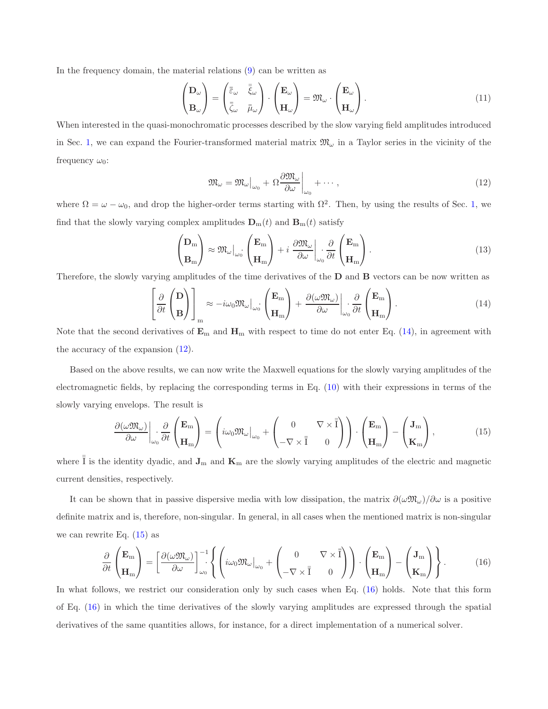In the frequency domain, the material relations [\(9\)](#page-2-2) can be written as

$$
\begin{pmatrix} \mathbf{D}_{\omega} \\ \mathbf{B}_{\omega} \end{pmatrix} = \begin{pmatrix} \overline{\overline{\overline{\varepsilon}}}_{\omega} & \overline{\overline{\overline{\varepsilon}}}_{\omega} \\ \overline{\overline{\overline{\varepsilon}}}_{\omega} & \overline{\overline{\mu}}_{\omega} \end{pmatrix} \cdot \begin{pmatrix} \mathbf{E}_{\omega} \\ \mathbf{H}_{\omega} \end{pmatrix} = \mathfrak{M}_{\omega} \cdot \begin{pmatrix} \mathbf{E}_{\omega} \\ \mathbf{H}_{\omega} \end{pmatrix} . \tag{11}
$$

When interested in the quasi-monochromatic processes described by the slow varying field amplitudes introduced in Sec. [1,](#page-0-0) we can expand the Fourier-transformed material matrix  $\mathfrak{M}_{\omega}$  in a Taylor series in the vicinity of the frequency  $\omega_0$ :

<span id="page-3-1"></span><span id="page-3-0"></span>
$$
\mathfrak{M}_{\omega} = \mathfrak{M}_{\omega}|_{\omega_0} + \Omega \frac{\partial \mathfrak{M}_{\omega}}{\partial \omega}\bigg|_{\omega_0} + \cdots , \qquad (12)
$$

where  $\Omega = \omega - \omega_0$ , and drop the higher-order terms starting with  $\Omega^2$ . Then, by using the results of Sec. [1,](#page-0-0) we find that the slowly varying complex amplitudes  $\mathbf{D}_{m}(t)$  and  $\mathbf{B}_{m}(t)$  satisfy

$$
\begin{pmatrix} \mathbf{D}_{\rm m} \\ \mathbf{B}_{\rm m} \end{pmatrix} \approx \mathfrak{M}_{\omega} \Big|_{\omega_0} \begin{pmatrix} \mathbf{E}_{\rm m} \\ \mathbf{H}_{\rm m} \end{pmatrix} + i \frac{\partial \mathfrak{M}_{\omega}}{\partial \omega} \Big|_{\omega_0} \frac{\partial}{\partial t} \begin{pmatrix} \mathbf{E}_{\rm m} \\ \mathbf{H}_{\rm m} \end{pmatrix} . \tag{13}
$$

Therefore, the slowly varying amplitudes of the time derivatives of the D and B vectors can be now written as

<span id="page-3-2"></span>
$$
\left[\frac{\partial}{\partial t}\begin{pmatrix} \mathbf{D} \\ \mathbf{B} \end{pmatrix}\right]_{m} \approx -i\omega_0 \mathfrak{M}_{\omega}\Big|_{\omega_0} \begin{pmatrix} \mathbf{E}_{m} \\ \mathbf{H}_{m} \end{pmatrix} + \frac{\partial(\omega \mathfrak{M}_{\omega})}{\partial \omega}\Big|_{\omega_0} \frac{\partial}{\partial t} \begin{pmatrix} \mathbf{E}_{m} \\ \mathbf{H}_{m} \end{pmatrix}.
$$
 (14)

Note that the second derivatives of  $\mathbf{E}_m$  and  $\mathbf{H}_m$  with respect to time do not enter Eq. [\(14\)](#page-3-0), in agreement with the accuracy of the expansion [\(12\)](#page-3-1).

Based on the above results, we can now write the Maxwell equations for the slowly varying amplitudes of the electromagnetic fields, by replacing the corresponding terms in Eq. [\(10\)](#page-2-4) with their expressions in terms of the slowly varying envelops. The result is

$$
\frac{\partial(\omega \mathfrak{M}_{\omega})}{\partial \omega}\bigg|_{\omega_0} \frac{\partial}{\partial t} \begin{pmatrix} \mathbf{E}_{\rm m} \\ \mathbf{H}_{\rm m} \end{pmatrix} = \left( i\omega_0 \mathfrak{M}_{\omega}\bigg|_{\omega_0} + \begin{pmatrix} 0 & \nabla \times \overline{\overline{\mathfrak{f}}} \\ -\nabla \times \overline{\overline{\mathfrak{f}}} & 0 \end{pmatrix} \right) \cdot \begin{pmatrix} \mathbf{E}_{\rm m} \\ \mathbf{H}_{\rm m} \end{pmatrix} - \begin{pmatrix} \mathbf{J}_{\rm m} \\ \mathbf{K}_{\rm m} \end{pmatrix},\tag{15}
$$

where  $\bar{I}$  is the identity dyadic, and  $\mathbf{J}_m$  and  $\mathbf{K}_m$  are the slowly varying amplitudes of the electric and magnetic current densities, respectively.

It can be shown that in passive dispersive media with low dissipation, the matrix  $\partial(\omega \mathfrak{M}_{\omega})/\partial \omega$  is a positive definite matrix and is, therefore, non-singular. In general, in all cases when the mentioned matrix is non-singular we can rewrite Eq.  $(15)$  as

<span id="page-3-3"></span>
$$
\frac{\partial}{\partial t} \begin{pmatrix} \mathbf{E}_{\mathbf{m}} \\ \mathbf{H}_{\mathbf{m}} \end{pmatrix} = \left[ \frac{\partial (\omega \mathfrak{M}_{\omega})}{\partial \omega} \right]_{\omega_{0}}^{-1} \left\{ \left( i\omega_{0} \mathfrak{M}_{\omega} \big|_{\omega_{0}} + \begin{pmatrix} 0 & \nabla \times \overline{\mathbf{I}} \\ -\nabla \times \overline{\mathbf{I}} & 0 \end{pmatrix} \right) \cdot \begin{pmatrix} \mathbf{E}_{\mathbf{m}} \\ \mathbf{H}_{\mathbf{m}} \end{pmatrix} - \begin{pmatrix} \mathbf{J}_{\mathbf{m}} \\ \mathbf{K}_{\mathbf{m}} \end{pmatrix} \right\}.
$$
 (16)

In what follows, we restrict our consideration only by such cases when Eq. [\(16\)](#page-3-3) holds. Note that this form of Eq. [\(16\)](#page-3-3) in which the time derivatives of the slowly varying amplitudes are expressed through the spatial derivatives of the same quantities allows, for instance, for a direct implementation of a numerical solver.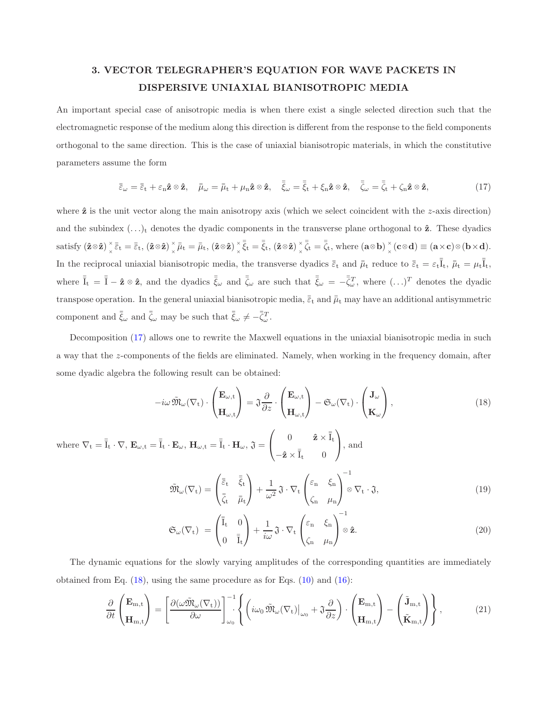### 3. VECTOR TELEGRAPHER'S EQUATION FOR WAVE PACKETS IN DISPERSIVE UNIAXIAL BIANISOTROPIC MEDIA

An important special case of anisotropic media is when there exist a single selected direction such that the electromagnetic response of the medium along this direction is different from the response to the field components orthogonal to the same direction. This is the case of uniaxial bianisotropic materials, in which the constitutive parameters assume the form

<span id="page-4-0"></span>
$$
\bar{\bar{\varepsilon}}_{\omega} = \bar{\bar{\varepsilon}}_{t} + \varepsilon_{n} \hat{\mathbf{z}} \otimes \hat{\mathbf{z}}, \quad \bar{\bar{\mu}}_{\omega} = \bar{\bar{\mu}}_{t} + \mu_{n} \hat{\mathbf{z}} \otimes \hat{\mathbf{z}}, \quad \bar{\bar{\zeta}}_{\omega} = \bar{\bar{\zeta}}_{t} + \xi_{n} \hat{\mathbf{z}} \otimes \hat{\mathbf{z}}, \quad \bar{\bar{\zeta}}_{\omega} = \bar{\bar{\zeta}}_{t} + \zeta_{n} \hat{\mathbf{z}} \otimes \hat{\mathbf{z}}, \tag{17}
$$

where  $\hat{z}$  is the unit vector along the main anisotropy axis (which we select coincident with the z-axis direction) and the subindex  $(\ldots)_t$  denotes the dyadic components in the transverse plane orthogonal to  $\hat{z}$ . These dyadics satisfy  $(\hat{\mathbf{z}} \otimes \hat{\mathbf{z}}) \begin{bmatrix} x \\ y \end{bmatrix}$  $\frac{\partial}{\partial x} \bar{\bar{\varepsilon}}_{\mathrm{t}} = \bar{\bar{\varepsilon}}_{\mathrm{t}}, \left( \mathbf{\hat{z}} \!\otimes\! \mathbf{\hat{z}} \right) \frac{\partial}{\partial x}$  $\frac{\partial}{\partial x} \bar{\bar{\mu}}_{\mathrm{t}} = \bar{\bar{\mu}}_{\mathrm{t}}, \left( \mathbf{\hat{z}} \!\otimes\! \mathbf{\hat{z}} \right) \frac{\partial}{\partial x}$  $_{\times}^{\times}\bar{\bar{\xi}}_{\mathrm{t}}=\bar{\bar{\xi}}_{\mathrm{t}},\left(\mathbf{\hat{z}}\!\otimes\!\mathbf{\hat{z}}\right)_{\times}^{\times}$  $\frac{x}{\times}\bar{\bar{\zeta}}_t = \bar{\bar{\zeta}}_t$ , where  $(\mathbf{a} \otimes \mathbf{b}) \frac{x}{\times}$  $\chi^{\times}$  (**c**  $\otimes$ **d**)  $\equiv$  (**a**  $\times$ **c**)  $\otimes$  (**b**  $\times$ **d**). In the reciprocal uniaxial bianisotropic media, the transverse dyadics  $\bar{\bar{\varepsilon}}_t$  and  $\bar{\bar{\mu}}_t$  reduce to  $\bar{\bar{\varepsilon}}_t = \varepsilon_t \bar{\bar{I}}_t$ ,  $\bar{\bar{\mu}}_t = \mu_t \bar{\bar{I}}_t$ , where  $\bar{\bar{I}}_t = \bar{\bar{I}} - \hat{\mathbf{z}} \otimes \hat{\mathbf{z}}$ , and the dyadics  $\bar{\bar{\xi}}_{\omega}$  and  $\bar{\bar{\zeta}}_{\omega}$  are such that  $\bar{\bar{\xi}}_{\omega} = -\bar{\bar{\zeta}}_{\omega}^T$ , where  $(\ldots)^T$  denotes the dyadic transpose operation. In the general uniaxial bianisotropic media,  $\bar{\bar{\epsilon}}_t$  and  $\bar{\bar{\mu}}_t$  may have an additional antisymmetric component and  $\bar{\bar{\xi}}_{\omega}$  and  $\bar{\bar{\zeta}}_{\omega}$  may be such that  $\bar{\bar{\xi}}_{\omega} \neq -\bar{\bar{\zeta}}_{\omega}^T$ .

Decomposition [\(17\)](#page-4-0) allows one to rewrite the Maxwell equations in the uniaxial bianisotropic media in such a way that the z-components of the fields are eliminated. Namely, when working in the frequency domain, after some dyadic algebra the following result can be obtained:

$$
-i\omega \, \tilde{\mathfrak{M}}_{\omega}(\nabla_{t}) \cdot \begin{pmatrix} \mathbf{E}_{\omega,t} \\ \mathbf{H}_{\omega,t} \end{pmatrix} = \mathfrak{J} \frac{\partial}{\partial z} \cdot \begin{pmatrix} \mathbf{E}_{\omega,t} \\ \mathbf{H}_{\omega,t} \end{pmatrix} - \mathfrak{S}_{\omega}(\nabla_{t}) \cdot \begin{pmatrix} \mathbf{J}_{\omega} \\ \mathbf{K}_{\omega} \end{pmatrix},
$$
(18)

where  $\nabla_t = \overline{I}_t \cdot \nabla$ ,  $\mathbf{E}_{\omega,t} = \overline{I}_t \cdot \mathbf{E}_{\omega}$ ,  $\mathbf{H}_{\omega,t} = \overline{I}_t \cdot \mathbf{H}_{\omega}$ ,  $\mathfrak{J} =$  $\sqrt{ }$  $\mathcal{L}$ 0  $\hat{\mathbf{z}} \times \overline{\overline{\mathbf{I}}}_t$  $-\hat{\mathbf{z}} \times \overline{\overline{I}}_t$  0  $\setminus$ , and

<span id="page-4-1"></span>
$$
\tilde{\mathfrak{M}}_{\omega}(\nabla_{t}) = \begin{pmatrix} \bar{\bar{\varepsilon}}_{t} & \bar{\bar{\xi}}_{t} \\ \bar{\bar{\zeta}}_{t} & \bar{\bar{\mu}}_{t} \end{pmatrix} + \frac{1}{\omega^{2}} \mathfrak{J} \cdot \nabla_{t} \begin{pmatrix} \varepsilon_{n} & \xi_{n} \\ \zeta_{n} & \mu_{n} \end{pmatrix}^{-1} \otimes \nabla_{t} \cdot \mathfrak{J},\tag{19}
$$

<span id="page-4-2"></span>
$$
\mathfrak{S}_{\omega}(\nabla_{t}) = \begin{pmatrix} \bar{\bar{I}}_{t} & 0 \\ 0 & \bar{\bar{I}}_{t} \end{pmatrix} + \frac{1}{i\omega} \mathfrak{J} \cdot \nabla_{t} \begin{pmatrix} \varepsilon_{n} & \xi_{n} \\ \zeta_{n} & \mu_{n} \end{pmatrix} \otimes \hat{\mathbf{z}}.
$$
 (20)

The dynamic equations for the slowly varying amplitudes of the corresponding quantities are immediately obtained from Eq.  $(18)$ , using the same procedure as for Eqs.  $(10)$  and  $(16)$ :

$$
\frac{\partial}{\partial t} \begin{pmatrix} \mathbf{E}_{m,t} \\ \mathbf{H}_{m,t} \end{pmatrix} = \left[ \frac{\partial (\omega \tilde{\mathfrak{M}}_{\omega}(\nabla_{t}))}{\partial \omega} \right]_{\omega_{0}}^{-1} \left\{ \left( i\omega_{0} \tilde{\mathfrak{M}}_{\omega}(\nabla_{t}) \big|_{\omega_{0}} + \mathfrak{J} \frac{\partial}{\partial z} \right) \cdot \begin{pmatrix} \mathbf{E}_{m,t} \\ \mathbf{H}_{m,t} \end{pmatrix} - \begin{pmatrix} \tilde{\mathbf{J}}_{m,t} \\ \tilde{\mathbf{K}}_{m,t} \end{pmatrix} \right\},
$$
(21)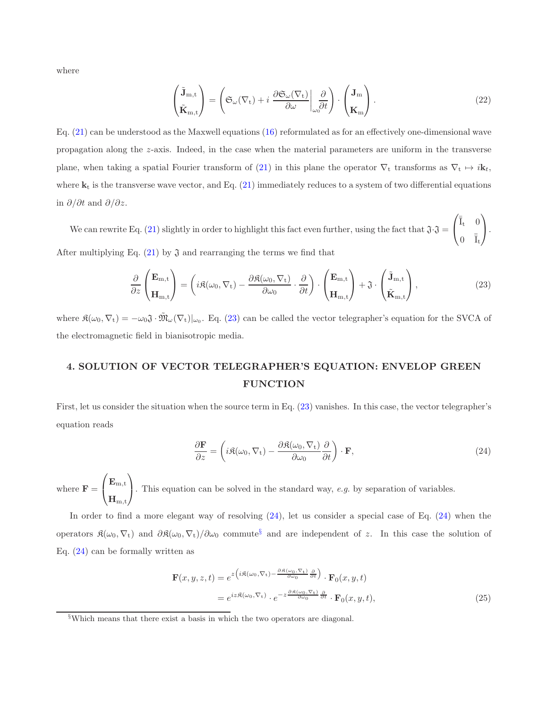where

$$
\begin{pmatrix} \tilde{\mathbf{J}}_{m,t} \\ \tilde{\mathbf{K}}_{m,t} \end{pmatrix} = \left( \mathfrak{S}_{\omega}(\nabla_{t}) + i \left. \frac{\partial \mathfrak{S}_{\omega}(\nabla_{t})}{\partial \omega} \right|_{\omega_{0}} \frac{\partial}{\partial t} \right) \cdot \begin{pmatrix} \mathbf{J}_{m} \\ \mathbf{K}_{m} \end{pmatrix} . \tag{22}
$$

Eq. [\(21\)](#page-4-2) can be understood as the Maxwell equations [\(16\)](#page-3-3) reformulated as for an effectively one-dimensional wave propagation along the z-axis. Indeed, in the case when the material parameters are uniform in the transverse plane, when taking a spatial Fourier transform of [\(21\)](#page-4-2) in this plane the operator  $\nabla_t$  transforms as  $\nabla_t \mapsto i\mathbf{k}_t$ , where  $\mathbf{k}_t$  is the transverse wave vector, and Eq. [\(21\)](#page-4-2) immediately reduces to a system of two differential equations in  $\partial/\partial t$  and  $\partial/\partial z$ .

We can rewrite Eq. [\(21\)](#page-4-2) slightly in order to highlight this fact even further, using the fact that  $\mathfrak{J} \cdot \mathfrak{J} =$  $\sqrt{2}$  $\mathcal{L}$  $\bar{\bar{I}}_t$  0  $0 \quad \bar{\bar{I}}_t$  $\setminus$  $\cdot$ After multiplying Eq.  $(21)$  by  $\mathfrak J$  and rearranging the terms we find that

$$
\frac{\partial}{\partial z} \begin{pmatrix} \mathbf{E}_{m,t} \\ \mathbf{H}_{m,t} \end{pmatrix} = \left( i \mathfrak{K}(\omega_0, \nabla_t) - \frac{\partial \mathfrak{K}(\omega_0, \nabla_t)}{\partial \omega_0} \cdot \frac{\partial}{\partial t} \right) \cdot \begin{pmatrix} \mathbf{E}_{m,t} \\ \mathbf{H}_{m,t} \end{pmatrix} + \mathfrak{J} \cdot \begin{pmatrix} \tilde{\mathbf{J}}_{m,t} \\ \tilde{\mathbf{K}}_{m,t} \end{pmatrix},
$$
(23)

where  $\Re(\omega_0, \nabla_t) = -\omega_0 \Im \cdot \tilde{\mathfrak{M}}_{\omega}(\nabla_t)|_{\omega_0}$ . Eq. [\(23\)](#page-5-0) can be called the vector telegrapher's equation for the SVCA of the electromagnetic field in bianisotropic media.

## 4. SOLUTION OF VECTOR TELEGRAPHER'S EQUATION: ENVELOP GREEN **FUNCTION**

First, let us consider the situation when the source term in Eq. [\(23\)](#page-5-0) vanishes. In this case, the vector telegrapher's equation reads

<span id="page-5-1"></span><span id="page-5-0"></span>
$$
\frac{\partial \mathbf{F}}{\partial z} = \left( i\Re(\omega_0, \nabla_t) - \frac{\partial \Re(\omega_0, \nabla_t)}{\partial \omega_0} \frac{\partial}{\partial t} \right) \cdot \mathbf{F},\tag{24}
$$

where  $\mathbf{F} =$  $\sqrt{ }$  $\overline{1}$  $\mathbf{E_{m,t}}$  $\mathbf{H}_{\text{m,t}}$  $\setminus$ . This equation can be solved in the standard way, e.g. by separation of variables.

In order to find a more elegant way of resolving [\(24\)](#page-5-1), let us consider a special case of Eq. [\(24\)](#page-5-1) when the operators  $\mathfrak{K}(\omega_0, \nabla_t)$  and  $\partial \mathfrak{K}(\omega_0, \nabla_t)/\partial \omega_0$  commute<sup>[§](#page-5-2)</sup> and are independent of z. In this case the solution of Eq.  $(24)$  can be formally written as

<span id="page-5-3"></span>
$$
\mathbf{F}(x, y, z, t) = e^{z \left( i\Re(\omega_0, \nabla_t) - \frac{\partial \Re(\omega_0, \nabla_t)}{\partial \omega_0} \frac{\partial}{\partial t} \right)} \cdot \mathbf{F}_0(x, y, t)
$$
  
=  $e^{iz\Re(\omega_0, \nabla_t)} \cdot e^{-z \frac{\partial \Re(\omega_0, \nabla_t)}{\partial \omega_0} \frac{\partial}{\partial t}} \cdot \mathbf{F}_0(x, y, t),$  (25)

<span id="page-5-2"></span><sup>§</sup>Which means that there exist a basis in which the two operators are diagonal.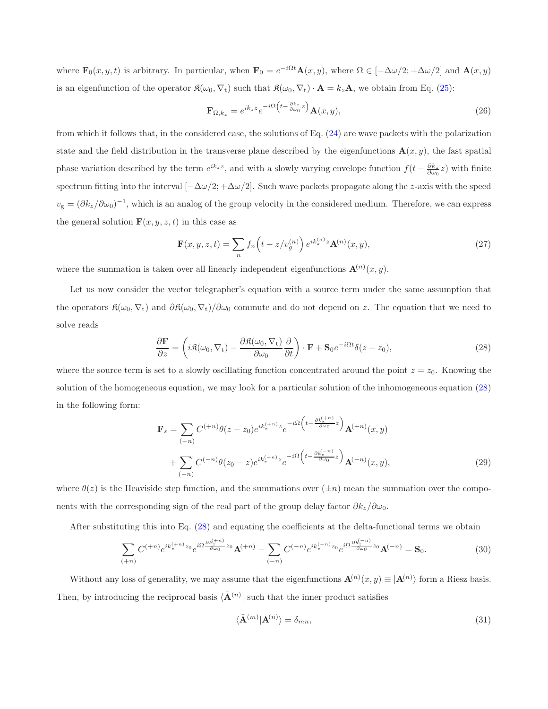where  $\mathbf{F}_0(x, y, t)$  is arbitrary. In particular, when  $\mathbf{F}_0 = e^{-i\Omega t} \mathbf{A}(x, y)$ , where  $\Omega \in [-\Delta \omega/2; +\Delta \omega/2]$  and  $\mathbf{A}(x, y)$ is an eigenfunction of the operator  $\mathfrak{K}(\omega_0, \nabla_t)$  such that  $\mathfrak{K}(\omega_0, \nabla_t) \cdot \mathbf{A} = k_z \mathbf{A}$ , we obtain from Eq. [\(25\)](#page-5-3):

$$
\mathbf{F}_{\Omega,k_z} = e^{ik_z z} e^{-i\Omega \left(t - \frac{\partial k_z}{\partial \omega_0} z\right)} \mathbf{A}(x, y),\tag{26}
$$

from which it follows that, in the considered case, the solutions of Eq. [\(24\)](#page-5-1) are wave packets with the polarization state and the field distribution in the transverse plane described by the eigenfunctions  $\mathbf{A}(x, y)$ , the fast spatial phase variation described by the term  $e^{ik_z z}$ , and with a slowly varying envelope function  $f(t - \frac{\partial k_z}{\partial \omega_0} z)$  with finite spectrum fitting into the interval  $[-\Delta\omega/2; +\Delta\omega/2]$ . Such wave packets propagate along the z-axis with the speed  $v_{\rm g} = (\partial k_z/\partial \omega_0)^{-1}$ , which is an analog of the group velocity in the considered medium. Therefore, we can express the general solution  $\mathbf{F}(x, y, z, t)$  in this case as

<span id="page-6-0"></span>
$$
\mathbf{F}(x, y, z, t) = \sum_{n} f_n\left(t - z/v_g^{(n)}\right) e^{ik_z^{(n)}z} \mathbf{A}^{(n)}(x, y),\tag{27}
$$

where the summation is taken over all linearly independent eigenfunctions  $\mathbf{A}^{(n)}(x,y)$ .

Let us now consider the vector telegrapher's equation with a source term under the same assumption that the operators  $\mathfrak{K}(\omega_0, \nabla_t)$  and  $\partial \mathfrak{K}(\omega_0, \nabla_t)/\partial \omega_0$  commute and do not depend on z. The equation that we need to solve reads

$$
\frac{\partial \mathbf{F}}{\partial z} = \left( i\mathfrak{K}(\omega_0, \nabla_t) - \frac{\partial \mathfrak{K}(\omega_0, \nabla_t)}{\partial \omega_0} \frac{\partial}{\partial t} \right) \cdot \mathbf{F} + \mathbf{S}_0 e^{-i\Omega t} \delta(z - z_0),\tag{28}
$$

where the source term is set to a slowly oscillating function concentrated around the point  $z = z_0$ . Knowing the solution of the homogeneous equation, we may look for a particular solution of the inhomogeneous equation [\(28\)](#page-6-0) in the following form:

$$
\mathbf{F}_{s} = \sum_{(+n)} C^{(+n)} \theta(z - z_{0}) e^{ik_{z}^{(+n)}z} e^{-i\Omega \left(t - \frac{\partial k_{z}^{(+n)}}{\partial \omega_{0}} z\right)} \mathbf{A}^{(+n)}(x, y)
$$

$$
+ \sum_{(-n)} C^{(-n)} \theta(z_{0} - z) e^{ik_{z}^{(-n)}z} e^{-i\Omega \left(t - \frac{\partial k_{z}^{(-n)}}{\partial \omega_{0}} z\right)} \mathbf{A}^{(-n)}(x, y), \tag{29}
$$

where  $\theta(z)$  is the Heaviside step function, and the summations over  $(\pm n)$  mean the summation over the components with the corresponding sign of the real part of the group delay factor  $\partial k_z/\partial \omega_0$ .

After substituting this into Eq. [\(28\)](#page-6-0) and equating the coefficients at the delta-functional terms we obtain

$$
\sum_{(+n)} C^{(+n)} e^{ik_z^{(+n)}z_0} e^{i\Omega \frac{\partial k_z^{(+n)}}{\partial \omega_0} z_0} \mathbf{A}^{(+n)} - \sum_{(-n)} C^{(-n)} e^{ik_z^{(-n)}z_0} e^{i\Omega \frac{\partial k_z^{(-n)}}{\partial \omega_0} z_0} \mathbf{A}^{(-n)} = \mathbf{S}_0.
$$
\n(30)

Without any loss of generality, we may assume that the eigenfunctions  $\mathbf{A}^{(n)}(x,y) \equiv |\mathbf{A}^{(n)}\rangle$  form a Riesz basis. Then, by introducing the reciprocal basis  $\langle \tilde{\mathbf{A}}^{(n)} \rangle$  such that the inner product satisfies

$$
\langle \tilde{\mathbf{A}}^{(m)} | \mathbf{A}^{(n)} \rangle = \delta_{mn},\tag{31}
$$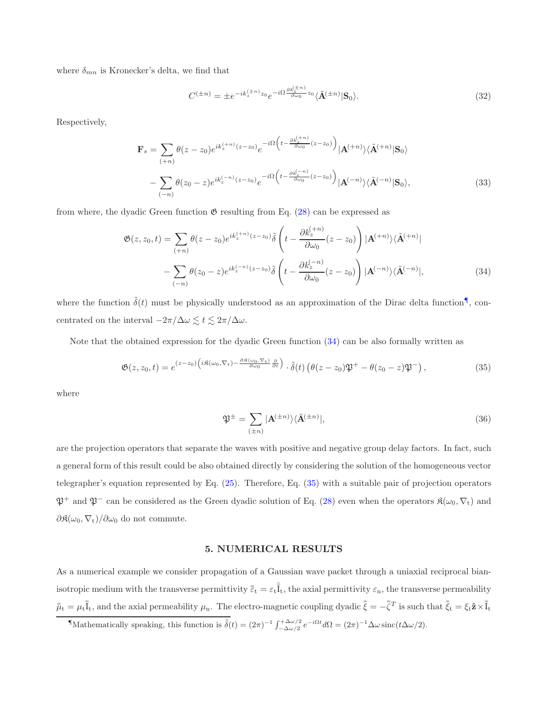where  $\delta_{mn}$  is Kronecker's delta, we find that

$$
C^{(\pm n)} = \pm e^{-ik_z^{(\pm n)}z_0}e^{-i\Omega \frac{\partial k_z^{(\pm n)}}{\partial \omega_0}z_0} \langle \tilde{\mathbf{A}}^{(\pm n)} | \mathbf{S}_0 \rangle.
$$
\n(32)

Respectively,

$$
\mathbf{F}_{s} = \sum_{(+n)} \theta(z - z_{0}) e^{ik_{z}^{(+n)}(z - z_{0})} e^{-i\Omega \left( t - \frac{\partial k_{z}^{(+n)}}{\partial \omega_{0}}(z - z_{0}) \right)} |\mathbf{A}^{(+n)}\rangle \langle \tilde{\mathbf{A}}^{(+n)}|\mathbf{S}_{0}\rangle
$$

$$
- \sum_{(-n)} \theta(z_{0} - z) e^{ik_{z}^{(-n)}(z - z_{0})} e^{-i\Omega \left( t - \frac{\partial k_{z}^{(-n)}}{\partial \omega_{0}}(z - z_{0}) \right)} |\mathbf{A}^{(-n)}\rangle \langle \tilde{\mathbf{A}}^{(-n)}|\mathbf{S}_{0}\rangle, \tag{33}
$$

from where, the dyadic Green function  $\mathfrak{G}$  resulting from Eq. [\(28\)](#page-6-0) can be expressed as

$$
\mathfrak{G}(z, z_0, t) = \sum_{(+n)} \theta(z - z_0) e^{ik_z^{(+n)}(z - z_0)} \tilde{\delta} \left( t - \frac{\partial k_z^{(+n)}}{\partial \omega_0} (z - z_0) \right) |\mathbf{A}^{(+n)}\rangle \langle \tilde{\mathbf{A}}^{(+n)}|
$$

$$
- \sum_{(-n)} \theta(z_0 - z) e^{ik_z^{(-n)}(z - z_0)} \tilde{\delta} \left( t - \frac{\partial k_z^{(-n)}}{\partial \omega_0} (z - z_0) \right) |\mathbf{A}^{(-n)}\rangle \langle \tilde{\mathbf{A}}^{(-n)}|, \tag{34}
$$

where the function  $\tilde{\delta}(t)$  must be physically understood as an approximation of the Dirac delta function<sup>1</sup>, concentrated on the interval  $-2\pi/\Delta\omega\lesssim t\lesssim 2\pi/\Delta\omega.$ 

Note that the obtained expression for the dyadic Green function [\(34\)](#page-7-1) can be also formally written as

$$
\mathfrak{G}(z, z_0, t) = e^{(z-z_0)\left(i\Re(\omega_0, \nabla_t) - \frac{\partial \Re(\omega_0, \nabla_t)}{\partial \omega_0}\frac{\partial}{\partial t}\right)} \cdot \tilde{\delta}(t) \left(\theta(z-z_0)\mathfrak{P}^+ - \theta(z_0-z)\mathfrak{P}^- \right),\tag{35}
$$

where

<span id="page-7-2"></span><span id="page-7-1"></span>
$$
\mathfrak{P}^{\pm} = \sum_{(\pm n)} |\mathbf{A}^{(\pm n)}\rangle \langle \tilde{\mathbf{A}}^{(\pm n)}|,\tag{36}
$$

are the projection operators that separate the waves with positive and negative group delay factors. In fact, such a general form of this result could be also obtained directly by considering the solution of the homogeneous vector telegrapher's equation represented by Eq. [\(25\)](#page-5-3). Therefore, Eq. [\(35\)](#page-7-2) with a suitable pair of projection operators  $\mathfrak{P}^+$  and  $\mathfrak{P}^-$  can be considered as the Green dyadic solution of Eq. [\(28\)](#page-6-0) even when the operators  $\mathfrak{K}(\omega_0, \nabla_t)$  and  $\partial \mathfrak{K}(\omega_0, \nabla_{\mathbf{t}})/\partial \omega_0$  do not commute.

### 5. NUMERICAL RESULTS

As a numerical example we consider propagation of a Gaussian wave packet through a uniaxial reciprocal bianisotropic medium with the transverse permittivity  $\bar{\bar{\varepsilon}}_t = \varepsilon_t \bar{\bar{I}}_t$ , the axial permittivity  $\varepsilon_n$ , the transverse permeability  $\bar{\bar{\mu}}_t = \mu_t \bar{\bar{I}}_t$ , and the axial permeability  $\mu_n$ . The electro-magnetic coupling dyadic  $\bar{\bar{\xi}} = -\bar{\bar{\zeta}}^T$  is such that  $\bar{\bar{\xi}}_t = \xi_t \hat{\mathbf{z}} \times \bar{\bar{I}}_t$ 

<span id="page-7-0"></span> $\sqrt{\text{Mathematically speaking, this function is } \tilde{\delta}(t) = (2\pi)^{-1} \int_{-\Delta\omega/2}^{+\Delta\omega/2} e^{-i\Omega t} d\Omega = (2\pi)^{-1} \Delta\omega \operatorname{sinc}(t\Delta\omega/2).$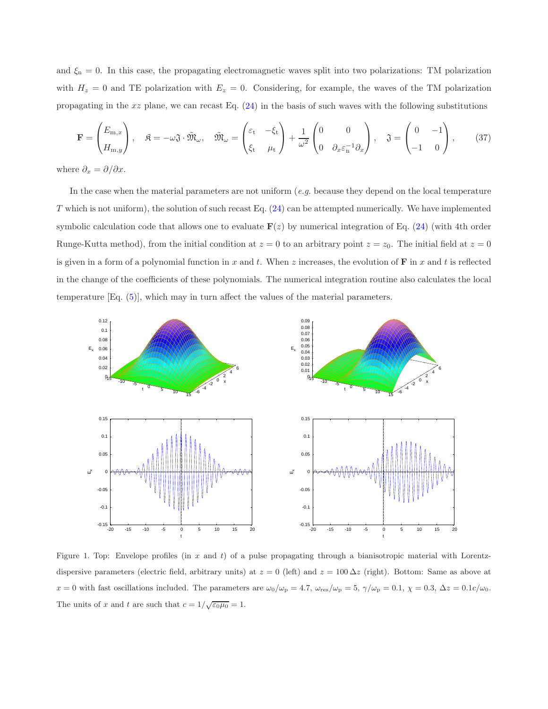and  $\xi_n = 0$ . In this case, the propagating electromagnetic waves split into two polarizations: TM polarization with  $H_z = 0$  and TE polarization with  $E_z = 0$ . Considering, for example, the waves of the TM polarization propagating in the  $xz$  plane, we can recast Eq.  $(24)$  in the basis of such waves with the following substitutions

$$
\mathbf{F} = \begin{pmatrix} E_{\mathbf{m},x} \\ H_{\mathbf{m},y} \end{pmatrix}, \quad \mathfrak{K} = -\omega \mathfrak{J} \cdot \tilde{\mathfrak{M}}_{\omega}, \quad \tilde{\mathfrak{M}}_{\omega} = \begin{pmatrix} \varepsilon_{\mathbf{t}} & -\xi_{\mathbf{t}} \\ \xi_{\mathbf{t}} & \mu_{\mathbf{t}} \end{pmatrix} + \frac{1}{\omega^{2}} \begin{pmatrix} 0 & 0 \\ 0 & \partial_{x} \varepsilon_{\mathbf{n}}^{-1} \partial_{x} \end{pmatrix}, \quad \mathfrak{J} = \begin{pmatrix} 0 & -1 \\ -1 & 0 \end{pmatrix}, \quad (37)
$$

where  $\partial_x = \partial/\partial x$ .

In the case when the material parameters are not uniform  $(e.g.$  because they depend on the local temperature T which is not uniform), the solution of such recast Eq. [\(24\)](#page-5-1) can be attempted numerically. We have implemented symbolic calculation code that allows one to evaluate  $F(z)$  by numerical integration of Eq. [\(24\)](#page-5-1) (with 4th order Runge-Kutta method), from the initial condition at  $z = 0$  to an arbitrary point  $z = z_0$ . The initial field at  $z = 0$ is given in a form of a polynomial function in x and t. When z increases, the evolution of  $\bf{F}$  in x and t is reflected in the change of the coefficients of these polynomials. The numerical integration routine also calculates the local temperature  $Eq. (5)$  $Eq. (5)$ , which may in turn affect the values of the material parameters.



<span id="page-8-0"></span>Figure 1. Top: Envelope profiles (in  $x$  and  $t$ ) of a pulse propagating through a bianisotropic material with Lorentzdispersive parameters (electric field, arbitrary units) at  $z = 0$  (left) and  $z = 100 \Delta z$  (right). Bottom: Same as above at  $x = 0$  with fast oscillations included. The parameters are  $\omega_0/\omega_p = 4.7$ ,  $\omega_{\text{res}}/\omega_p = 5$ ,  $\gamma/\omega_p = 0.1$ ,  $\chi = 0.3$ ,  $\Delta z = 0.1$ c/ $\omega_0$ . The units of x and t are such that  $c = 1/\sqrt{\epsilon_0 \mu_0} = 1$ .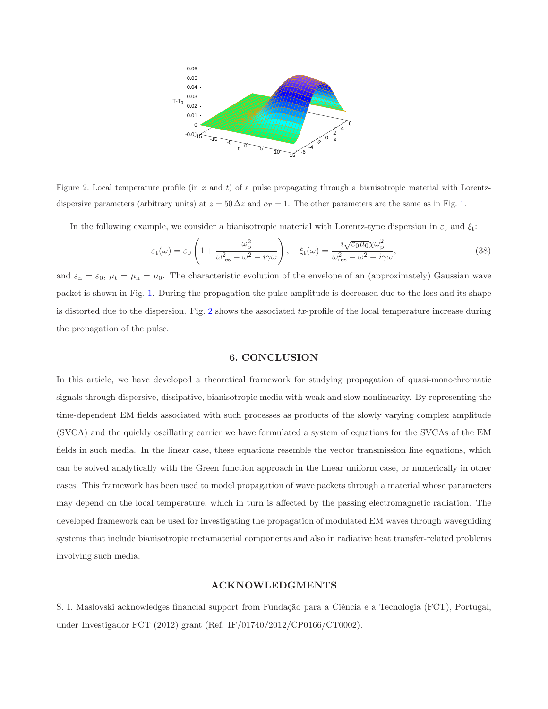

<span id="page-9-0"></span>Figure 2. Local temperature profile (in x and t) of a pulse propagating through a bianisotropic material with Lorentzdispersive parameters (arbitrary units) at  $z = 50 \Delta z$  and  $c_T = 1$ . The other parameters are the same as in Fig. [1.](#page-8-0)

In the following example, we consider a bianisotropic material with Lorentz-type dispersion in  $\varepsilon_t$  and  $\xi_t$ :

$$
\varepsilon_{t}(\omega) = \varepsilon_{0} \left( 1 + \frac{\omega_{\rm p}^{2}}{\omega_{\rm res}^{2} - \omega^{2} - i\gamma\omega} \right), \quad \xi_{t}(\omega) = \frac{i\sqrt{\varepsilon_{0}\mu_{0}}\chi\omega_{\rm p}^{2}}{\omega_{\rm res}^{2} - \omega^{2} - i\gamma\omega},
$$
\n(38)

and  $\varepsilon_n = \varepsilon_0$ ,  $\mu_t = \mu_n = \mu_0$ . The characteristic evolution of the envelope of an (approximately) Gaussian wave packet is shown in Fig. [1.](#page-8-0) During the propagation the pulse amplitude is decreased due to the loss and its shape is distorted due to the dispersion. Fig. [2](#page-9-0) shows the associated  $tx$ -profile of the local temperature increase during the propagation of the pulse.

### 6. CONCLUSION

In this article, we have developed a theoretical framework for studying propagation of quasi-monochromatic signals through dispersive, dissipative, bianisotropic media with weak and slow nonlinearity. By representing the time-dependent EM fields associated with such processes as products of the slowly varying complex amplitude (SVCA) and the quickly oscillating carrier we have formulated a system of equations for the SVCAs of the EM fields in such media. In the linear case, these equations resemble the vector transmission line equations, which can be solved analytically with the Green function approach in the linear uniform case, or numerically in other cases. This framework has been used to model propagation of wave packets through a material whose parameters may depend on the local temperature, which in turn is affected by the passing electromagnetic radiation. The developed framework can be used for investigating the propagation of modulated EM waves through waveguiding systems that include bianisotropic metamaterial components and also in radiative heat transfer-related problems involving such media.

#### ACKNOWLEDGMENTS

S. I. Maslovski acknowledges financial support from Fundação para a Ciência e a Tecnologia (FCT), Portugal, under Investigador FCT (2012) grant (Ref. IF/01740/2012/CP0166/CT0002).